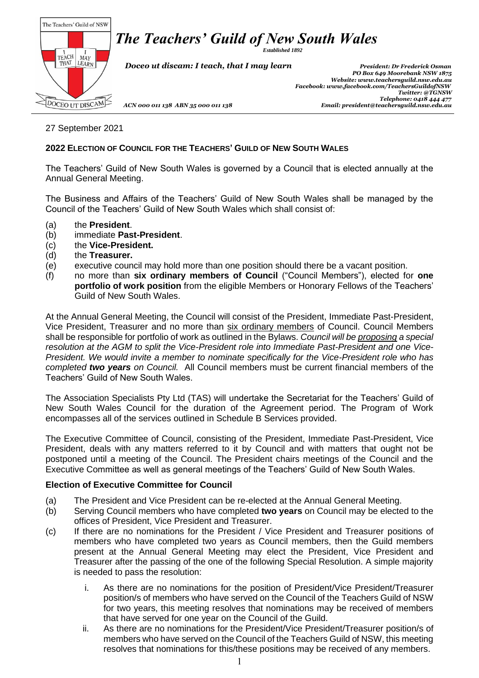*Established 1892*



 *Doceo ut discam: I teach, that I may learn President: Dr Frederick Osman*

 *PO Box 649 Moorebank NSW 1875 Website[: www.teachersguild.nsw.edu.au](http://www.teachersguild.nsw.edu.au/) Facebook[: www.facebook.com/TeachersGuildofNSW](http://www.facebook.com/TeachersGuildofNSW) Twitter: @TGNSW Telephone: 0418 444 477 ACN 000 011 138 ABN 35 000 011 138 Email: president@teachersguild.nsw.edu.au*

#### 27 September 2021

#### **2022 ELECTION OF COUNCIL FOR THE TEACHERS' GUILD OF NEW SOUTH WALES**

The Teachers' Guild of New South Wales is governed by a Council that is elected annually at the Annual General Meeting.

The Business and Affairs of the Teachers' Guild of New South Wales shall be managed by the Council of the Teachers' Guild of New South Wales which shall consist of:

- (a) the **President**.
- (b) immediate **Past-President**.
- (c) the **Vice-President.**
- (d) the **Treasurer.**
- (e) executive council may hold more than one position should there be a vacant position.
- (f) no more than **six ordinary members of Council** ("Council Members"), elected for **one portfolio of work position** from the eligible Members or Honorary Fellows of the Teachers' Guild of New South Wales.

At the Annual General Meeting, the Council will consist of the President, Immediate Past-President, Vice President, Treasurer and no more than six ordinary members of Council. Council Members shall be responsible for portfolio of work as outlined in the Bylaws. *Council will be proposing a special resolution at the AGM to split the Vice-President role into Immediate Past-President and one Vice-President. We would invite a member to nominate specifically for the Vice-President role who has completed two years on Council.* All Council members must be current financial members of the Teachers' Guild of New South Wales.

The Association Specialists Pty Ltd (TAS) will undertake the Secretariat for the Teachers' Guild of New South Wales Council for the duration of the Agreement period. The Program of Work encompasses all of the services outlined in Schedule B Services provided.

The Executive Committee of Council, consisting of the President, Immediate Past-President, Vice President, deals with any matters referred to it by Council and with matters that ought not be postponed until a meeting of the Council. The President chairs meetings of the Council and the Executive Committee as well as general meetings of the Teachers' Guild of New South Wales.

#### **Election of Executive Committee for Council**

- (a) The President and Vice President can be re-elected at the Annual General Meeting.
- (b) Serving Council members who have completed **two years** on Council may be elected to the offices of President, Vice President and Treasurer.
- (c) If there are no nominations for the President / Vice President and Treasurer positions of members who have completed two years as Council members, then the Guild members present at the Annual General Meeting may elect the President, Vice President and Treasurer after the passing of the one of the following Special Resolution. A simple majority is needed to pass the resolution:
	- i. As there are no nominations for the position of President/Vice President/Treasurer position/s of members who have served on the Council of the Teachers Guild of NSW for two years, this meeting resolves that nominations may be received of members that have served for one year on the Council of the Guild.
	- ii. As there are no nominations for the President/Vice President/Treasurer position/s of members who have served on the Council of the Teachers Guild of NSW, this meeting resolves that nominations for this/these positions may be received of any members.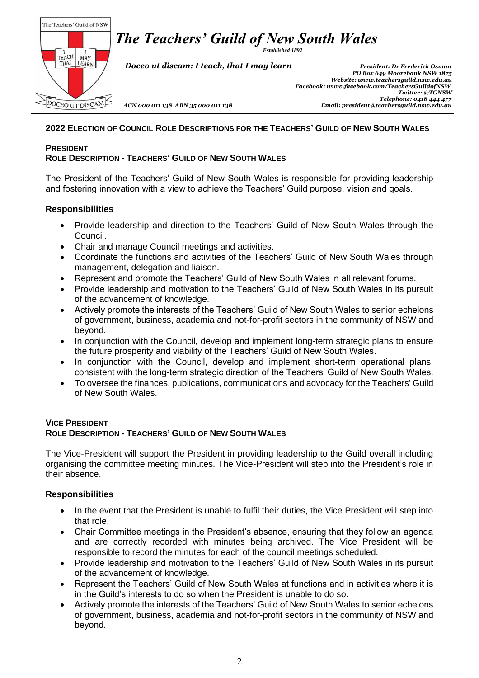*Established 1892*

The Teachers' Guild of NSW  $\left[\begin{array}{c|c} 1 & I \\ \text{TEACH} & \text{MAP} \\ \text{THAT} & \text{LEARN} \end{array}\right]$ DOCEO UT DISCAM

 *Doceo ut discam: I teach, that I may learn President: Dr Frederick Osman*

 *PO Box 649 Moorebank NSW 1875 Website[: www.teachersguild.nsw.edu.au](http://www.teachersguild.nsw.edu.au/) Facebook[: www.facebook.com/TeachersGuildofNSW](http://www.facebook.com/TeachersGuildofNSW) Twitter: @TGNSW Telephone: 0418 444 477 ACN 000 011 138 ABN 35 000 011 138 Email: president@teachersguild.nsw.edu.au*

#### 2022 ELECTION OF COUNCIL ROLE DESCRIPTIONS FOR THE TEACHERS' GUILD OF NEW SOUTH WALES

#### **PRESIDENT**

### **ROLE DESCRIPTION - TEACHERS' GUILD OF NEW SOUTH WALES**

The President of the Teachers' Guild of New South Wales is responsible for providing leadership and fostering innovation with a view to achieve the Teachers' Guild purpose, vision and goals.

#### **Responsibilities**

- Provide leadership and direction to the Teachers' Guild of New South Wales through the Council.
- Chair and manage Council meetings and activities.
- Coordinate the functions and activities of the Teachers' Guild of New South Wales through management, delegation and liaison.
- Represent and promote the Teachers' Guild of New South Wales in all relevant forums.
- Provide leadership and motivation to the Teachers' Guild of New South Wales in its pursuit of the advancement of knowledge.
- Actively promote the interests of the Teachers' Guild of New South Wales to senior echelons of government, business, academia and not-for-profit sectors in the community of NSW and beyond.
- In conjunction with the Council, develop and implement long-term strategic plans to ensure the future prosperity and viability of the Teachers' Guild of New South Wales.
- In conjunction with the Council, develop and implement short-term operational plans, consistent with the long-term strategic direction of the Teachers' Guild of New South Wales.
- To oversee the finances, publications, communications and advocacy for the Teachers' Guild of New South Wales.

#### **VICE PRESIDENT ROLE DESCRIPTION - TEACHERS' GUILD OF NEW SOUTH WALES**

The Vice-President will support the President in providing leadership to the Guild overall including organising the committee meeting minutes. The Vice-President will step into the President's role in their absence.

#### **Responsibilities**

- In the event that the President is unable to fulfil their duties, the Vice President will step into that role.
- Chair Committee meetings in the President's absence, ensuring that they follow an agenda and are correctly recorded with minutes being archived. The Vice President will be responsible to record the minutes for each of the council meetings scheduled.
- Provide leadership and motivation to the Teachers' Guild of New South Wales in its pursuit of the advancement of knowledge.
- Represent the Teachers' Guild of New South Wales at functions and in activities where it is in the Guild's interests to do so when the President is unable to do so.
- Actively promote the interests of the Teachers' Guild of New South Wales to senior echelons of government, business, academia and not-for-profit sectors in the community of NSW and beyond.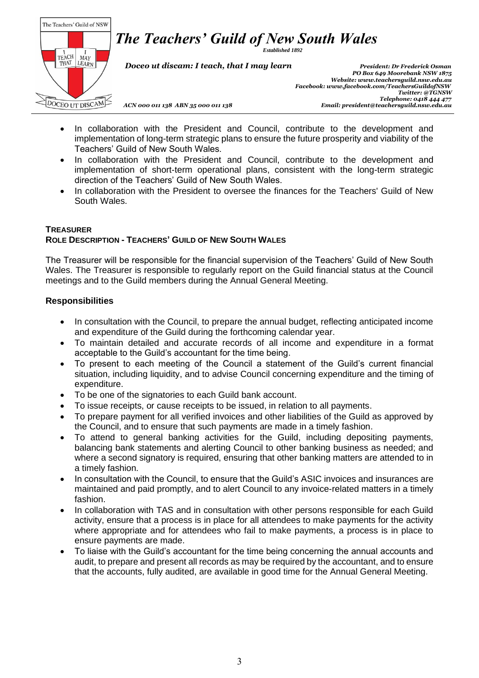

*Established 1892*

 *Doceo ut discam: I teach, that I may learn President: Dr Frederick Osman*

 *PO Box 649 Moorebank NSW 1875 Website[: www.teachersguild.nsw.edu.au](http://www.teachersguild.nsw.edu.au/) Facebook[: www.facebook.com/TeachersGuildofNSW](http://www.facebook.com/TeachersGuildofNSW) Twitter: @TGNSW Telephone: 0418 444 477 ACN 000 011 138 ABN 35 000 011 138 Email: president@teachersguild.nsw.edu.au*

- In collaboration with the President and Council, contribute to the development and implementation of long-term strategic plans to ensure the future prosperity and viability of the Teachers' Guild of New South Wales.
- In collaboration with the President and Council, contribute to the development and implementation of short-term operational plans, consistent with the long-term strategic direction of the Teachers' Guild of New South Wales.
- In collaboration with the President to oversee the finances for the Teachers' Guild of New South Wales.

#### **TREASURER ROLE DESCRIPTION - TEACHERS' GUILD OF NEW SOUTH WALES**

The Treasurer will be responsible for the financial supervision of the Teachers' Guild of New South Wales. The Treasurer is responsible to regularly report on the Guild financial status at the Council meetings and to the Guild members during the Annual General Meeting.

## **Responsibilities**

- In consultation with the Council, to prepare the annual budget, reflecting anticipated income and expenditure of the Guild during the forthcoming calendar year.
- To maintain detailed and accurate records of all income and expenditure in a format acceptable to the Guild's accountant for the time being.
- To present to each meeting of the Council a statement of the Guild's current financial situation, including liquidity, and to advise Council concerning expenditure and the timing of expenditure.
- To be one of the signatories to each Guild bank account.
- To issue receipts, or cause receipts to be issued, in relation to all payments.
- To prepare payment for all verified invoices and other liabilities of the Guild as approved by the Council, and to ensure that such payments are made in a timely fashion.
- To attend to general banking activities for the Guild, including depositing payments, balancing bank statements and alerting Council to other banking business as needed; and where a second signatory is required, ensuring that other banking matters are attended to in a timely fashion.
- In consultation with the Council, to ensure that the Guild's ASIC invoices and insurances are maintained and paid promptly, and to alert Council to any invoice-related matters in a timely fashion.
- In collaboration with TAS and in consultation with other persons responsible for each Guild activity, ensure that a process is in place for all attendees to make payments for the activity where appropriate and for attendees who fail to make payments, a process is in place to ensure payments are made.
- To liaise with the Guild's accountant for the time being concerning the annual accounts and audit, to prepare and present all records as may be required by the accountant, and to ensure that the accounts, fully audited, are available in good time for the Annual General Meeting.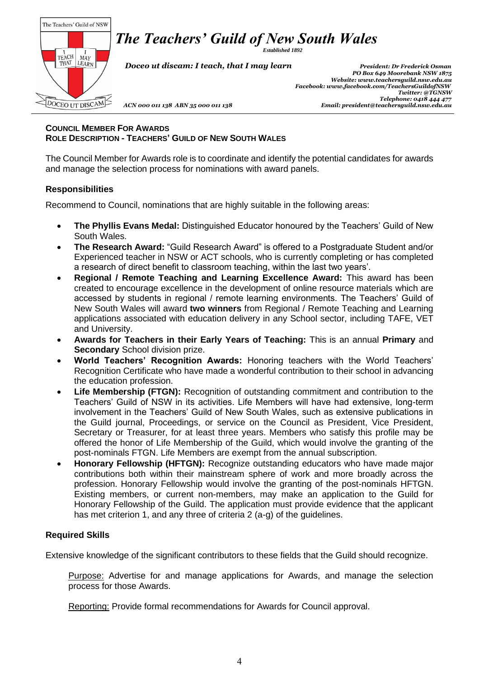*Established 1892*

The Teachers' Guild of NSW  $\left[\begin{array}{c|c} 1 & I \\ \text{TEACH} & \text{MAP} \\ \text{THAT} & \text{LEARN} \end{array}\right]$ DOCEO UT DISCAM

 *Doceo ut discam: I teach, that I may learn President: Dr Frederick Osman*

 *PO Box 649 Moorebank NSW 1875 Website[: www.teachersguild.nsw.edu.au](http://www.teachersguild.nsw.edu.au/) Facebook[: www.facebook.com/TeachersGuildofNSW](http://www.facebook.com/TeachersGuildofNSW) Twitter: @TGNSW Telephone: 0418 444 477 ACN 000 011 138 ABN 35 000 011 138 Email: president@teachersguild.nsw.edu.au*

#### **COUNCIL MEMBER FOR AWARDS ROLE DESCRIPTION - TEACHERS' GUILD OF NEW SOUTH WALES**

The Council Member for Awards role is to coordinate and identify the potential candidates for awards and manage the selection process for nominations with award panels.

# **Responsibilities**

Recommend to Council, nominations that are highly suitable in the following areas:

- **The Phyllis Evans Medal:** Distinguished Educator honoured by the Teachers' Guild of New South Wales.
- **The Research Award:** "Guild Research Award" is offered to a Postgraduate Student and/or Experienced teacher in NSW or ACT schools, who is currently completing or has completed a research of direct benefit to classroom teaching, within the last two years'.
- **Regional / Remote Teaching and Learning Excellence Award:** This award has been created to encourage excellence in the development of online resource materials which are accessed by students in regional / remote learning environments. The Teachers' Guild of New South Wales will award **two winners** from Regional / Remote Teaching and Learning applications associated with education delivery in any School sector, including TAFE, VET and University.
- **Awards for Teachers in their Early Years of Teaching:** This is an annual **Primary** and **Secondary** School division prize.
- **World Teachers' Recognition Awards:** Honoring teachers with the World Teachers' Recognition Certificate who have made a wonderful contribution to their school in advancing the education profession.
- Life Membership (FTGN): Recognition of outstanding commitment and contribution to the Teachers' Guild of NSW in its activities. Life Members will have had extensive, long-term involvement in the Teachers' Guild of New South Wales, such as extensive publications in the Guild journal, Proceedings, or service on the Council as President, Vice President, Secretary or Treasurer, for at least three years. Members who satisfy this profile may be offered the honor of Life Membership of the Guild, which would involve the granting of the post-nominals FTGN. Life Members are exempt from the annual subscription.
- **Honorary Fellowship (HFTGN):** Recognize outstanding educators who have made major contributions both within their mainstream sphere of work and more broadly across the profession. Honorary Fellowship would involve the granting of the post-nominals HFTGN. Existing members, or current non-members, may make an application to the Guild for Honorary Fellowship of the Guild. The application must provide evidence that the applicant has met criterion 1, and any three of criteria 2 (a-g) of the guidelines.

## **Required Skills**

Extensive knowledge of the significant contributors to these fields that the Guild should recognize.

Purpose: Advertise for and manage applications for Awards, and manage the selection process for those Awards.

Reporting: Provide formal recommendations for Awards for Council approval.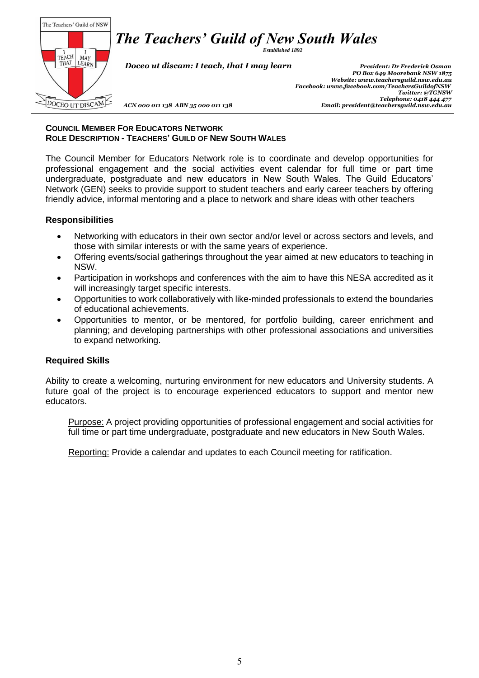The Teachers' Guild of NSW  $\begin{array}{c|c}\n & I & I \\
\text{TEACH} & \text{MAP} \\
\text{THAT} & \text{LEARN}\n\end{array}$ DOCEO UT DISCAM

*Established 1892*

 *Doceo ut discam: I teach, that I may learn President: Dr Frederick Osman*

 *PO Box 649 Moorebank NSW 1875 Website[: www.teachersguild.nsw.edu.au](http://www.teachersguild.nsw.edu.au/) Facebook[: www.facebook.com/TeachersGuildofNSW](http://www.facebook.com/TeachersGuildofNSW) Twitter: @TGNSW Telephone: 0418 444 477 ACN 000 011 138 ABN 35 000 011 138 Email: president@teachersguild.nsw.edu.au*

#### **COUNCIL MEMBER FOR EDUCATORS NETWORK ROLE DESCRIPTION - TEACHERS' GUILD OF NEW SOUTH WALES**

The Council Member for Educators Network role is to coordinate and develop opportunities for professional engagement and the social activities event calendar for full time or part time undergraduate, postgraduate and new educators in New South Wales. The Guild Educators' Network (GEN) seeks to provide support to student teachers and early career teachers by offering friendly advice, informal mentoring and a place to network and share ideas with other teachers

#### **Responsibilities**

- Networking with educators in their own sector and/or level or across sectors and levels, and those with similar interests or with the same years of experience.
- Offering events/social gatherings throughout the year aimed at new educators to teaching in NSW.
- Participation in workshops and conferences with the aim to have this NESA accredited as it will increasingly target specific interests.
- Opportunities to work collaboratively with like-minded professionals to extend the boundaries of educational achievements.
- Opportunities to mentor, or be mentored, for portfolio building, career enrichment and planning; and developing partnerships with other professional associations and universities to expand networking.

#### **Required Skills**

Ability to create a welcoming, nurturing environment for new educators and University students. A future goal of the project is to encourage experienced educators to support and mentor new educators.

Purpose: A project providing opportunities of professional engagement and social activities for full time or part time undergraduate, postgraduate and new educators in New South Wales.

Reporting: Provide a calendar and updates to each Council meeting for ratification.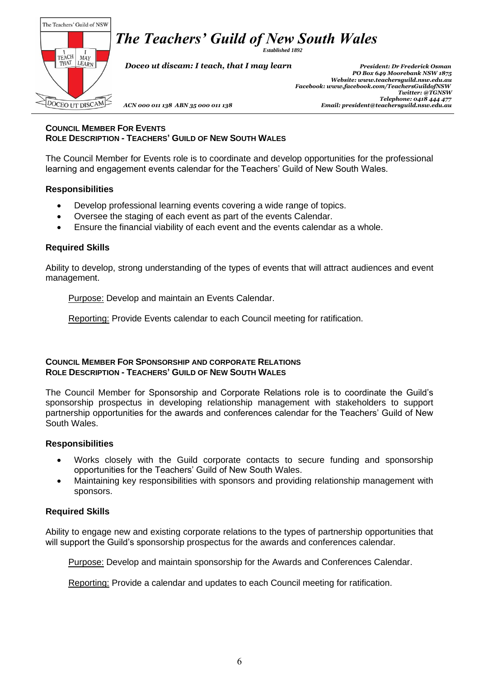*Established 1892*

The Teachers' Guild of NSW  $\left[\begin{array}{c|c} 1 & I \\ \text{TEACH} & \text{MAP} \\ \text{THAT} & \text{LEARN} \end{array}\right]$ DOCEO UT DISCAM

 *Doceo ut discam: I teach, that I may learn President: Dr Frederick Osman*

 *PO Box 649 Moorebank NSW 1875 Website[: www.teachersguild.nsw.edu.au](http://www.teachersguild.nsw.edu.au/) Facebook[: www.facebook.com/TeachersGuildofNSW](http://www.facebook.com/TeachersGuildofNSW) Twitter: @TGNSW Telephone: 0418 444 477 ACN 000 011 138 ABN 35 000 011 138 Email: president@teachersguild.nsw.edu.au*

#### **COUNCIL MEMBER FOR EVENTS ROLE DESCRIPTION - TEACHERS' GUILD OF NEW SOUTH WALES**

The Council Member for Events role is to coordinate and develop opportunities for the professional learning and engagement events calendar for the Teachers' Guild of New South Wales.

### **Responsibilities**

- Develop professional learning events covering a wide range of topics.
- Oversee the staging of each event as part of the events Calendar.
- Ensure the financial viability of each event and the events calendar as a whole.

### **Required Skills**

Ability to develop, strong understanding of the types of events that will attract audiences and event management.

Purpose: Develop and maintain an Events Calendar.

Reporting: Provide Events calendar to each Council meeting for ratification.

#### **COUNCIL MEMBER FOR SPONSORSHIP AND CORPORATE RELATIONS ROLE DESCRIPTION - TEACHERS' GUILD OF NEW SOUTH WALES**

The Council Member for Sponsorship and Corporate Relations role is to coordinate the Guild's sponsorship prospectus in developing relationship management with stakeholders to support partnership opportunities for the awards and conferences calendar for the Teachers' Guild of New South Wales.

#### **Responsibilities**

- Works closely with the Guild corporate contacts to secure funding and sponsorship opportunities for the Teachers' Guild of New South Wales.
- Maintaining key responsibilities with sponsors and providing relationship management with sponsors.

#### **Required Skills**

Ability to engage new and existing corporate relations to the types of partnership opportunities that will support the Guild's sponsorship prospectus for the awards and conferences calendar.

Purpose: Develop and maintain sponsorship for the Awards and Conferences Calendar.

Reporting: Provide a calendar and updates to each Council meeting for ratification.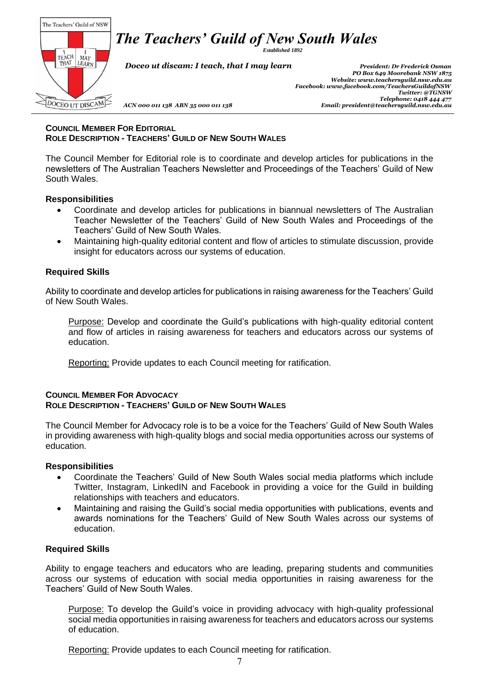*Established 1892*

The Teachers' Guild of NSW  $\left[\begin{array}{c|c} 1 & I \\ \text{TEACH} & \text{MAP} \\ \text{THAT} & \text{LEARN} \end{array}\right]$ DOCEO UT DISCAM

 *Doceo ut discam: I teach, that I may learn President: Dr Frederick Osman*

 *PO Box 649 Moorebank NSW 1875 Website[: www.teachersguild.nsw.edu.au](http://www.teachersguild.nsw.edu.au/) Facebook[: www.facebook.com/TeachersGuildofNSW](http://www.facebook.com/TeachersGuildofNSW) Twitter: @TGNSW Telephone: 0418 444 477 ACN 000 011 138 ABN 35 000 011 138 Email: president@teachersguild.nsw.edu.au*

#### **COUNCIL MEMBER FOR EDITORIAL ROLE DESCRIPTION - TEACHERS' GUILD OF NEW SOUTH WALES**

The Council Member for Editorial role is to coordinate and develop articles for publications in the newsletters of The Australian Teachers Newsletter and Proceedings of the Teachers' Guild of New South Wales.

#### **Responsibilities**

- Coordinate and develop articles for publications in biannual newsletters of The Australian Teacher Newsletter of the Teachers' Guild of New South Wales and Proceedings of the Teachers' Guild of New South Wales.
- Maintaining high-quality editorial content and flow of articles to stimulate discussion, provide insight for educators across our systems of education.

## **Required Skills**

Ability to coordinate and develop articles for publications in raising awareness for the Teachers' Guild of New South Wales.

Purpose: Develop and coordinate the Guild's publications with high-quality editorial content and flow of articles in raising awareness for teachers and educators across our systems of education.

Reporting: Provide updates to each Council meeting for ratification.

#### **COUNCIL MEMBER FOR ADVOCACY ROLE DESCRIPTION - TEACHERS' GUILD OF NEW SOUTH WALES**

The Council Member for Advocacy role is to be a voice for the Teachers' Guild of New South Wales in providing awareness with high-quality blogs and social media opportunities across our systems of education.

#### **Responsibilities**

- Coordinate the Teachers' Guild of New South Wales social media platforms which include Twitter, Instagram, LinkedIN and Facebook in providing a voice for the Guild in building relationships with teachers and educators.
- Maintaining and raising the Guild's social media opportunities with publications, events and awards nominations for the Teachers' Guild of New South Wales across our systems of education.

## **Required Skills**

Ability to engage teachers and educators who are leading, preparing students and communities across our systems of education with social media opportunities in raising awareness for the Teachers' Guild of New South Wales.

Purpose: To develop the Guild's voice in providing advocacy with high-quality professional social media opportunities in raising awareness for teachers and educators across our systems of education.

Reporting: Provide updates to each Council meeting for ratification.